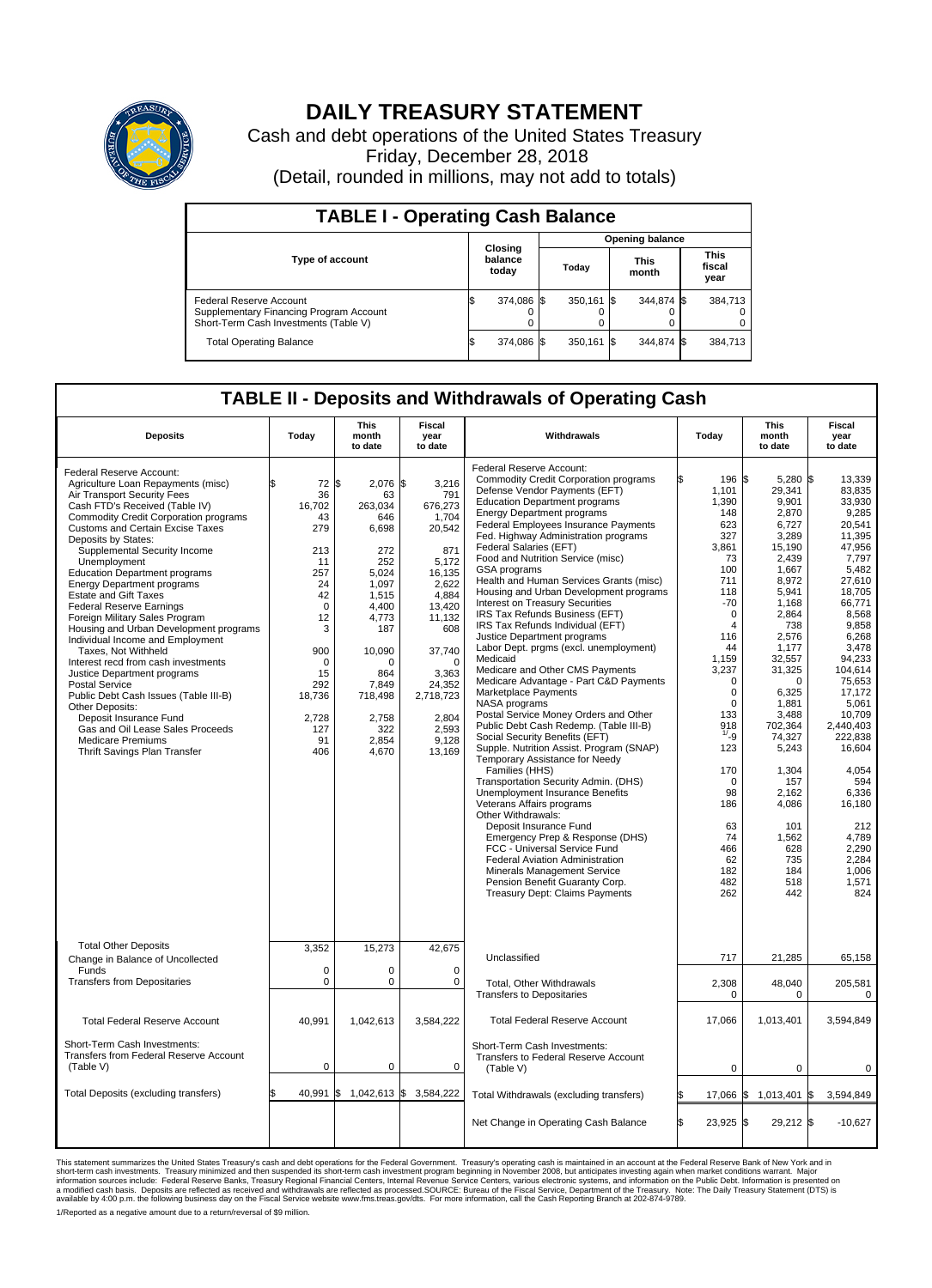

## **DAILY TREASURY STATEMENT**

Cash and debt operations of the United States Treasury Friday, December 28, 2018 (Detail, rounded in millions, may not add to totals)

| <b>TABLE I - Operating Cash Balance</b>                                                                     |  |                             |                        |            |  |                      |  |                               |  |
|-------------------------------------------------------------------------------------------------------------|--|-----------------------------|------------------------|------------|--|----------------------|--|-------------------------------|--|
|                                                                                                             |  |                             | <b>Opening balance</b> |            |  |                      |  |                               |  |
| Type of account                                                                                             |  | Closing<br>balance<br>today |                        | Today      |  | <b>This</b><br>month |  | <b>This</b><br>fiscal<br>year |  |
| Federal Reserve Account<br>Supplementary Financing Program Account<br>Short-Term Cash Investments (Table V) |  | 374,086 \$                  |                        | 350,161 \$ |  | 344,874 \$           |  | 384,713                       |  |
| <b>Total Operating Balance</b>                                                                              |  | 374,086                     |                        | 350,161 \$ |  | 344,874 \$           |  | 384,713                       |  |

## **TABLE II - Deposits and Withdrawals of Operating Cash**

| <b>Deposits</b>                                                                                                                                                                                                                                                                                                                                                                                                                                                                                                                                                                                                                                                                                                                                                                                                                                                               | Today                                                                                                                                                                      | <b>This</b><br>month<br>to date                                                                                                                                                      | Fiscal<br>year<br>to date                                                                                                                                                                                    | Withdrawals                                                                                                                                                                                                                                                                                                                                                                                                                                                                                                                                                                                                                                                                                                                                                                                                                                                                                                                                                                                                                                                                                                                                                                                                                                                                                                                                                               |     | <b>This</b><br>Today<br>month<br>to date                                                                                                                                                                                                                                                                             |                                                                                                                                                                                                                                                                                                                        | <b>Fiscal</b><br>year<br>to date |                                                                                                                                                                                                                                                                                                                                                   |
|-------------------------------------------------------------------------------------------------------------------------------------------------------------------------------------------------------------------------------------------------------------------------------------------------------------------------------------------------------------------------------------------------------------------------------------------------------------------------------------------------------------------------------------------------------------------------------------------------------------------------------------------------------------------------------------------------------------------------------------------------------------------------------------------------------------------------------------------------------------------------------|----------------------------------------------------------------------------------------------------------------------------------------------------------------------------|--------------------------------------------------------------------------------------------------------------------------------------------------------------------------------------|--------------------------------------------------------------------------------------------------------------------------------------------------------------------------------------------------------------|---------------------------------------------------------------------------------------------------------------------------------------------------------------------------------------------------------------------------------------------------------------------------------------------------------------------------------------------------------------------------------------------------------------------------------------------------------------------------------------------------------------------------------------------------------------------------------------------------------------------------------------------------------------------------------------------------------------------------------------------------------------------------------------------------------------------------------------------------------------------------------------------------------------------------------------------------------------------------------------------------------------------------------------------------------------------------------------------------------------------------------------------------------------------------------------------------------------------------------------------------------------------------------------------------------------------------------------------------------------------------|-----|----------------------------------------------------------------------------------------------------------------------------------------------------------------------------------------------------------------------------------------------------------------------------------------------------------------------|------------------------------------------------------------------------------------------------------------------------------------------------------------------------------------------------------------------------------------------------------------------------------------------------------------------------|----------------------------------|---------------------------------------------------------------------------------------------------------------------------------------------------------------------------------------------------------------------------------------------------------------------------------------------------------------------------------------------------|
| Federal Reserve Account:<br>Agriculture Loan Repayments (misc)<br>Air Transport Security Fees<br>Cash FTD's Received (Table IV)<br><b>Commodity Credit Corporation programs</b><br><b>Customs and Certain Excise Taxes</b><br>Deposits by States:<br>Supplemental Security Income<br>Unemployment<br><b>Education Department programs</b><br><b>Energy Department programs</b><br><b>Estate and Gift Taxes</b><br><b>Federal Reserve Earnings</b><br>Foreign Military Sales Program<br>Housing and Urban Development programs<br>Individual Income and Employment<br>Taxes, Not Withheld<br>Interest recd from cash investments<br>Justice Department programs<br><b>Postal Service</b><br>Public Debt Cash Issues (Table III-B)<br>Other Deposits:<br>Deposit Insurance Fund<br>Gas and Oil Lease Sales Proceeds<br><b>Medicare Premiums</b><br>Thrift Savings Plan Transfer | $72$ \$<br>ፍ<br>36<br>16.702<br>43<br>279<br>213<br>11<br>257<br>24<br>42<br>$\Omega$<br>12<br>3<br>900<br>$\mathbf 0$<br>15<br>292<br>18,736<br>2,728<br>127<br>91<br>406 | $2,076$ \$<br>63<br>263.034<br>646<br>6.698<br>272<br>252<br>5,024<br>1.097<br>1,515<br>4.400<br>4,773<br>187<br>10,090<br>864<br>7.849<br>718,498<br>2,758<br>322<br>2,854<br>4,670 | 3,216<br>791<br>676,273<br>1,704<br>20,542<br>871<br>5.172<br>16,135<br>2.622<br>4,884<br>13,420<br>11,132<br>608<br>37,740<br>$\Omega$<br>3,363<br>24,352<br>2,718,723<br>2,804<br>2,593<br>9,128<br>13,169 | Federal Reserve Account:<br><b>Commodity Credit Corporation programs</b><br>Defense Vendor Payments (EFT)<br><b>Education Department programs</b><br><b>Energy Department programs</b><br><b>Federal Employees Insurance Payments</b><br>Fed. Highway Administration programs<br>Federal Salaries (EFT)<br>Food and Nutrition Service (misc)<br>GSA programs<br>Health and Human Services Grants (misc)<br>Housing and Urban Development programs<br>Interest on Treasury Securities<br>IRS Tax Refunds Business (EFT)<br>IRS Tax Refunds Individual (EFT)<br>Justice Department programs<br>Labor Dept. prgms (excl. unemployment)<br>Medicaid<br>Medicare and Other CMS Payments<br>Medicare Advantage - Part C&D Payments<br>Marketplace Payments<br>NASA programs<br>Postal Service Money Orders and Other<br>Public Debt Cash Redemp. (Table III-B)<br>Social Security Benefits (EFT)<br>Supple. Nutrition Assist. Program (SNAP)<br>Temporary Assistance for Needy<br>Families (HHS)<br>Transportation Security Admin. (DHS)<br>Unemployment Insurance Benefits<br>Veterans Affairs programs<br>Other Withdrawals:<br>Deposit Insurance Fund<br>Emergency Prep & Response (DHS)<br>FCC - Universal Service Fund<br><b>Federal Aviation Administration</b><br>Minerals Management Service<br>Pension Benefit Guaranty Corp.<br><b>Treasury Dept: Claims Payments</b> |     | 196 \$<br>1.101<br>1,390<br>148<br>623<br>327<br>3.861<br>73<br>100<br>711<br>118<br>$-70$<br>$\mathbf 0$<br>$\overline{4}$<br>116<br>44<br>1,159<br>3,237<br>$\mathbf 0$<br>$\mathbf 0$<br>$\Omega$<br>133<br>918<br>$^{1/-}9$<br>123<br>170<br>$\Omega$<br>98<br>186<br>63<br>74<br>466<br>62<br>182<br>482<br>262 | 5,280 \$<br>29.341<br>9,901<br>2,870<br>6,727<br>3,289<br>15.190<br>2,439<br>1.667<br>8,972<br>5,941<br>1,168<br>2,864<br>738<br>2,576<br>1.177<br>32,557<br>31,325<br>0<br>6,325<br>1.881<br>3,488<br>702.364<br>74,327<br>5,243<br>1,304<br>157<br>2,162<br>4,086<br>101<br>1.562<br>628<br>735<br>184<br>518<br>442 |                                  | 13,339<br>83.835<br>33,930<br>9,285<br>20,541<br>11.395<br>47.956<br>7,797<br>5.482<br>27,610<br>18.705<br>66,771<br>8,568<br>9,858<br>6,268<br>3.478<br>94.233<br>104,614<br>75,653<br>17,172<br>5.061<br>10,709<br>2,440,403<br>222,838<br>16,604<br>4,054<br>594<br>6,336<br>16,180<br>212<br>4.789<br>2,290<br>2,284<br>1,006<br>1,571<br>824 |
| <b>Total Other Deposits</b><br>Change in Balance of Uncollected<br>Funds<br><b>Transfers from Depositaries</b>                                                                                                                                                                                                                                                                                                                                                                                                                                                                                                                                                                                                                                                                                                                                                                | 3,352<br>$\mathbf 0$<br>$\mathbf 0$                                                                                                                                        | 15,273<br>$\Omega$<br>0                                                                                                                                                              | 42,675<br>$\Omega$<br>$\mathbf 0$                                                                                                                                                                            | Unclassified<br><b>Total, Other Withdrawals</b><br><b>Transfers to Depositaries</b>                                                                                                                                                                                                                                                                                                                                                                                                                                                                                                                                                                                                                                                                                                                                                                                                                                                                                                                                                                                                                                                                                                                                                                                                                                                                                       |     | 717<br>2,308<br>$\Omega$                                                                                                                                                                                                                                                                                             | 21,285<br>48,040<br>$\Omega$                                                                                                                                                                                                                                                                                           |                                  | 65,158<br>205,581<br>$\mathbf 0$                                                                                                                                                                                                                                                                                                                  |
| <b>Total Federal Reserve Account</b>                                                                                                                                                                                                                                                                                                                                                                                                                                                                                                                                                                                                                                                                                                                                                                                                                                          | 40,991                                                                                                                                                                     | 1,042,613                                                                                                                                                                            | 3,584,222                                                                                                                                                                                                    | <b>Total Federal Reserve Account</b>                                                                                                                                                                                                                                                                                                                                                                                                                                                                                                                                                                                                                                                                                                                                                                                                                                                                                                                                                                                                                                                                                                                                                                                                                                                                                                                                      |     | 17,066                                                                                                                                                                                                                                                                                                               | 1,013,401                                                                                                                                                                                                                                                                                                              |                                  | 3,594,849                                                                                                                                                                                                                                                                                                                                         |
| Short-Term Cash Investments:<br><b>Transfers from Federal Reserve Account</b><br>(Table V)                                                                                                                                                                                                                                                                                                                                                                                                                                                                                                                                                                                                                                                                                                                                                                                    | $\mathbf 0$                                                                                                                                                                | 0                                                                                                                                                                                    | 0                                                                                                                                                                                                            | Short-Term Cash Investments:<br>Transfers to Federal Reserve Account<br>(Table V)                                                                                                                                                                                                                                                                                                                                                                                                                                                                                                                                                                                                                                                                                                                                                                                                                                                                                                                                                                                                                                                                                                                                                                                                                                                                                         |     | $\mathbf 0$                                                                                                                                                                                                                                                                                                          | 0                                                                                                                                                                                                                                                                                                                      |                                  | $\mathbf 0$                                                                                                                                                                                                                                                                                                                                       |
| Total Deposits (excluding transfers)                                                                                                                                                                                                                                                                                                                                                                                                                                                                                                                                                                                                                                                                                                                                                                                                                                          | 40,991                                                                                                                                                                     | 1,042,613 \$<br>ß.                                                                                                                                                                   | 3,584,222                                                                                                                                                                                                    | Total Withdrawals (excluding transfers)                                                                                                                                                                                                                                                                                                                                                                                                                                                                                                                                                                                                                                                                                                                                                                                                                                                                                                                                                                                                                                                                                                                                                                                                                                                                                                                                   |     | 17,066 \$                                                                                                                                                                                                                                                                                                            | 1,013,401                                                                                                                                                                                                                                                                                                              | \$                               | 3,594,849                                                                                                                                                                                                                                                                                                                                         |
|                                                                                                                                                                                                                                                                                                                                                                                                                                                                                                                                                                                                                                                                                                                                                                                                                                                                               |                                                                                                                                                                            |                                                                                                                                                                                      |                                                                                                                                                                                                              | Net Change in Operating Cash Balance                                                                                                                                                                                                                                                                                                                                                                                                                                                                                                                                                                                                                                                                                                                                                                                                                                                                                                                                                                                                                                                                                                                                                                                                                                                                                                                                      | l\$ | 23,925 \$                                                                                                                                                                                                                                                                                                            | 29,212 \$                                                                                                                                                                                                                                                                                                              |                                  | $-10,627$                                                                                                                                                                                                                                                                                                                                         |

This statement summarizes the United States Treasury's cash and debt operations for the Federal Government. Treasury soperating in November 2008, but anticiarded in a cocount at the Federal Reserve Bank of New York and in<br>

1/Reported as a negative amount due to a return/reversal of \$9 million.